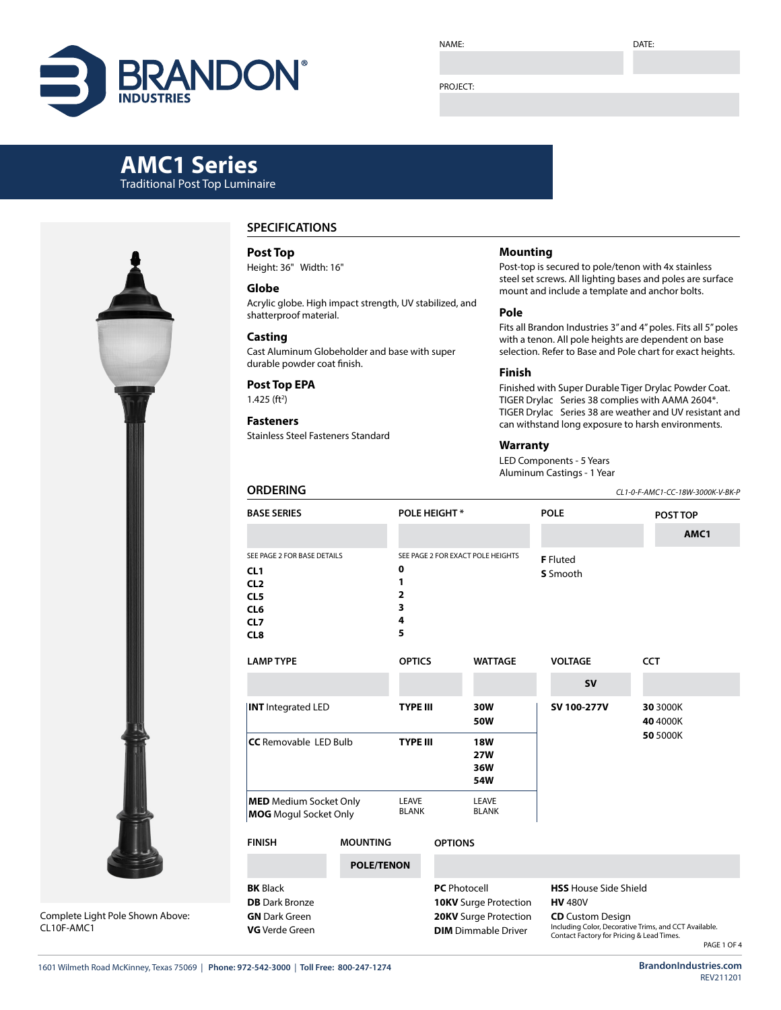

DATE:

### PROJECT:

# **AMC1 Series** Traditional Post Top Luminaire



Complete Light Pole Shown Above: CL10F-AMC1

# **SPECIFICATIONS**

**Post Top** Height: 36" Width: 16"

### **Globe**

Acrylic globe. High impact strength, UV stabilized, and shatterproof material.

## **Casting**

Cast Aluminum Globeholder and base with super durable powder coat finish.

# **Post Top EPA**

 $1.425$  (ft<sup>2</sup>)

# **Fasteners**

**ORDERING**

Stainless Steel Fasteners Standard

### **Mounting**

Post-top is secured to pole/tenon with 4x stainless steel set screws. All lighting bases and poles are surface mount and include a template and anchor bolts.

#### **Pole**

Fits all Brandon Industries 3" and 4" poles. Fits all 5" poles with a tenon. All pole heights are dependent on base selection. Refer to Base and Pole chart for exact heights.

### **Finish**

Finished with Super Durable Tiger Drylac Powder Coat. TIGER Drylac Series 38 complies with AAMA 2604\*. TIGER Drylac Series 38 are weather and UV resistant and can withstand long exposure to harsh environments.

#### **Warranty**

LED Components - 5 Years Aluminum Castings - 1 Year

*CL1-0-F-AMC1-CC-18W-3000K-V-BK-P*

| <b>BASE SERIES</b>                                                                                        |                                                                 |                | <b>POLE HEIGHT*</b>                                                                                        |  |                      | <b>POLE</b>                                                                                                                                                                     |                      | POST TOP<br>AMC1 |  |  |
|-----------------------------------------------------------------------------------------------------------|-----------------------------------------------------------------|----------------|------------------------------------------------------------------------------------------------------------|--|----------------------|---------------------------------------------------------------------------------------------------------------------------------------------------------------------------------|----------------------|------------------|--|--|
| SEE PAGE 2 FOR BASE DETAILS<br>CL1<br>CL <sub>2</sub><br>CL5<br>CL <sub>6</sub><br>CL7<br>CL <sub>8</sub> | SEE PAGE 2 FOR EXACT POLE HEIGHTS<br>0<br>1<br>2<br>3<br>4<br>5 |                |                                                                                                            |  | F Fluted<br>S Smooth |                                                                                                                                                                                 |                      |                  |  |  |
| <b>LAMP TYPE</b>                                                                                          | <b>OPTICS</b>                                                   |                | <b>WATTAGE</b>                                                                                             |  | <b>VOLTAGE</b>       |                                                                                                                                                                                 | <b>CCT</b>           |                  |  |  |
|                                                                                                           |                                                                 |                |                                                                                                            |  | <b>SV</b>            |                                                                                                                                                                                 |                      |                  |  |  |
| <b>INT</b> Integrated LED                                                                                 | <b>TYPE III</b>                                                 |                | 30W<br><b>50W</b>                                                                                          |  | SV 100-277V          |                                                                                                                                                                                 | 30 3000K<br>40 4000K |                  |  |  |
| <b>CC</b> Removable LED Bulb                                                                              | <b>TYPE III</b>                                                 |                | <b>18W</b><br><b>27W</b><br>36W<br>54W                                                                     |  |                      |                                                                                                                                                                                 | 50 5000K             |                  |  |  |
| <b>MED</b> Medium Socket Only<br><b>MOG</b> Mogul Socket Only                                             | LEAVE<br><b>BLANK</b>                                           |                | LEAVE<br><b>BLANK</b>                                                                                      |  |                      |                                                                                                                                                                                 |                      |                  |  |  |
| <b>FINISH</b>                                                                                             |                                                                 | <b>OPTIONS</b> |                                                                                                            |  |                      |                                                                                                                                                                                 |                      |                  |  |  |
|                                                                                                           | <b>POLE/TENON</b>                                               |                |                                                                                                            |  |                      |                                                                                                                                                                                 |                      |                  |  |  |
| <b>BK</b> Black<br><b>DB</b> Dark Bronze<br><b>GN</b> Dark Green<br><b>VG</b> Verde Green                 |                                                                 |                | <b>PC</b> Photocell<br><b>10KV</b> Surge Protection<br>20KV Surge Protection<br><b>DIM</b> Dimmable Driver |  |                      | <b>HSS</b> House Side Shield<br><b>HV 480V</b><br><b>CD</b> Custom Design<br>Including Color, Decorative Trims, and CCT Available.<br>Contact Factory for Pricing & Lead Times. |                      |                  |  |  |

1601 Wilmeth Road McKinney, Texas 75069 | **Phone: 972-542-3000** | **Toll Free: 800-247-1274 BrandonIndustries.com**

PAGE 1 OF 4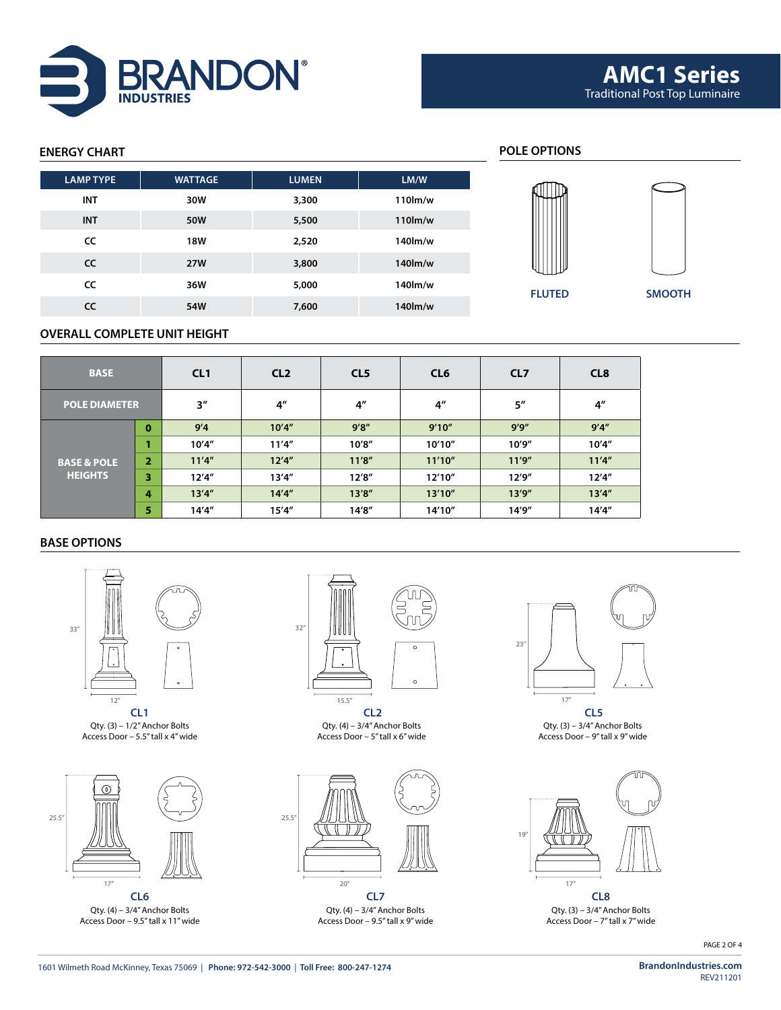

# **ENERGY CHART POLE OPTIONS FLUTED SMOOTH LAMP TYPE WATTAGE LUMEN LM/W INT 30W 3,300 110lm/w INT 50W 5,500 110lm/w CC 18W 2,520 140lm/w CC 27W 3,800 140lm/w CC 36W 5,000 140lm/w CC 54W 7,600 140lm/w**

# **OVERALL COMPLETE UNIT HEIGHT**

| <b>BASE</b>            |                | CL1                | CL <sub>2</sub> | CL <sub>5</sub> | CL <sub>6</sub>    | CL <sub>7</sub> | CL <sub>8</sub> |
|------------------------|----------------|--------------------|-----------------|-----------------|--------------------|-----------------|-----------------|
| <b>POLE DIAMETER</b>   |                | $3^{\prime\prime}$ | 4 <sup>''</sup> | 4 <sup>''</sup> | $4^{\prime\prime}$ | 5"              | 4 <sup>''</sup> |
|                        | $\bf{0}$       | 9'4                | 10'4''          | 9'8''           | 9'10''             | 9'9''           | 9'4''           |
|                        |                | 10'4''             | 11'4''          | 10'8''          | 10'10"             | 10'9''          | 10'4''          |
| <b>BASE &amp; POLE</b> | $\overline{2}$ | 11'4''             | 12'4''          | 11'8''          | 11'10''            | 11'9''          | 11'4''          |
| <b>HEIGHTS</b>         | 3              | 12'4''             | 13'4''          | 12'8''          | 12'10''            | 12'9''          | 12'4''          |
|                        | 4              | 13'4''             | 14'4''          | 13'8''          | 13'10"             | 13'9''          | 13'4''          |
|                        | 5              | 14'4''             | 15'4''          | 14'8''          | 14'10"             | 14'9"           | 14'4''          |

# **BASE OPTIONS**



Qty. (3) – 1/2" Anchor Bolts Access Door – 5.5" tall x 4" wide



Qty. (4) – 3/4" Anchor Bolts Access Door – 9.5" tall x 11" wide



**CL1 CL2 CL5** Qty. (4) – 3/4" Anchor Bolts Access Door – 5" tall x 6" wide



**CL6 CL7 CL8** Qty. (4) – 3/4" Anchor Bolts Access Door – 9.5" tall x 9" wide



Qty. (3) – 3/4" Anchor Bolts Access Door – 9" tall x 9" wide



Qty. (3) – 3/4" Anchor Bolts Access Door – 7" tall x 7" wide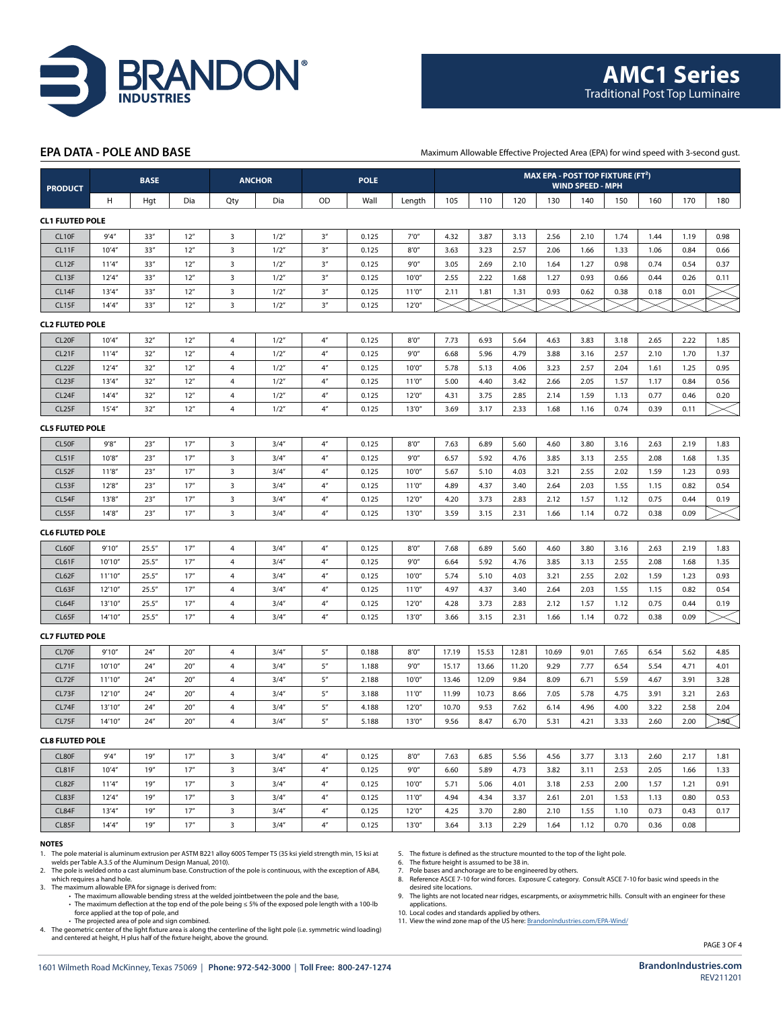

### **EPA DATA - POLE AND BASE**

Maximum Allowable Effective Projected Area (EPA) for wind speed with 3-second gust.

| <b>PRODUCT</b>         |         | <b>BASE</b> |                   |                         | <b>ANCHOR</b> |                    | <b>POLE</b> |        |       | MAX EPA - POST TOP FIXTURE (FT <sup>2</sup> )<br><b>WIND SPEED - MPH</b> |       |       |      |      |      |      |      |  |
|------------------------|---------|-------------|-------------------|-------------------------|---------------|--------------------|-------------|--------|-------|--------------------------------------------------------------------------|-------|-------|------|------|------|------|------|--|
|                        | н       | Hgt         | Dia               | Qty                     | Dia           | OD                 | Wall        | Length | 105   | 110                                                                      | 120   | 130   | 140  | 150  | 160  | 170  | 180  |  |
| <b>CL1 FLUTED POLE</b> |         |             |                   |                         |               |                    |             |        |       |                                                                          |       |       |      |      |      |      |      |  |
| CL10F                  | 9'4''   | 33''        | 12''              | $\overline{\mathbf{3}}$ | 1/2''         | 3''                | 0.125       | 7'0''  | 4.32  | 3.87                                                                     | 3.13  | 2.56  | 2.10 | 1.74 | 1.44 | 1.19 | 0.98 |  |
| CL11F                  | 10'4''  | 33''        | 12"               | $\overline{\mathbf{3}}$ | 1/2''         | 3''                | 0.125       | 8'0''  | 3.63  | 3.23                                                                     | 2.57  | 2.06  | 1.66 | 1.33 | 1.06 | 0.84 | 0.66 |  |
| CL12F                  | 11'4''  | 33''        | 12"               | 3                       | 1/2''         | 3 <sup>n</sup>     | 0.125       | 9'0''  | 3.05  | 2.69                                                                     | 2.10  | 1.64  | 1.27 | 0.98 | 0.74 | 0.54 | 0.37 |  |
| CL13F                  | 12'4''  | 33''        | 12"               | $\overline{\mathbf{3}}$ | 1/2"          | 3''                | 0.125       | 10'0'' | 2.55  | 2.22                                                                     | 1.68  | 1.27  | 0.93 | 0.66 | 0.44 | 0.26 | 0.11 |  |
| CL14F                  | 13'4''  | 33''        | 12"               | $\overline{\mathbf{3}}$ | 1/2"          | 3''                | 0.125       | 11'0'' | 2.11  | 1.81                                                                     | 1.31  | 0.93  | 0.62 | 0.38 | 0.18 | 0.01 |      |  |
| CL15F                  | 14'4''  | 33''        | 12"               | $\overline{\mathbf{3}}$ | 1/2"          | 3 <sup>n</sup>     | 0.125       | 12'0'' |       |                                                                          |       |       |      |      |      |      |      |  |
| <b>CL2 FLUTED POLE</b> |         |             |                   |                         |               |                    |             |        |       |                                                                          |       |       |      |      |      |      |      |  |
| CL <sub>20F</sub>      | 10'4''  | 32''        | 12"               | $\overline{4}$          | 1/2''         | $4''$              | 0.125       | 8'0''  | 7.73  | 6.93                                                                     | 5.64  | 4.63  | 3.83 | 3.18 | 2.65 | 2.22 | 1.85 |  |
| CL <sub>21</sub> F     | 11'4''  | 32"         | 12''              | 4                       | 1/2"          | 4 <sup>n</sup>     | 0.125       | 9'0''  | 6.68  | 5.96                                                                     | 4.79  | 3.88  | 3.16 | 2.57 | 2.10 | 1.70 | 1.37 |  |
| CL <sub>22</sub> F     | 12'4''  | 32"         | 12"               | $\overline{4}$          | 1/2''         | $4^{\prime\prime}$ | 0.125       | 10'0'' | 5.78  | 5.13                                                                     | 4.06  | 3.23  | 2.57 | 2.04 | 1.61 | 1.25 | 0.95 |  |
| CL <sub>23</sub> F     | 13'4''  | 32"         | 12"               | $\overline{4}$          | 1/2"          | $4''$              | 0.125       | 11'0'' | 5.00  | 4.40                                                                     | 3.42  | 2.66  | 2.05 | 1.57 | 1.17 | 0.84 | 0.56 |  |
| CL24F                  | 14'4''  | 32"         | 12''              | $\overline{4}$          | 1/2"          | $4''$              | 0.125       | 12'0'' | 4.31  | 3.75                                                                     | 2.85  | 2.14  | 1.59 | 1.13 | 0.77 | 0.46 | 0.20 |  |
| CL <sub>25F</sub>      | 15'4''  | 32"         | 12"               | $\overline{4}$          | 1/2"          | 4 <sup>n</sup>     | 0.125       | 13'0'' | 3.69  | 3.17                                                                     | 2.33  | 1.68  | 1.16 | 0.74 | 0.39 | 0.11 |      |  |
| <b>CL5 FLUTED POLE</b> |         |             |                   |                         |               |                    |             |        |       |                                                                          |       |       |      |      |      |      |      |  |
| CL50F                  | 9'8''   | 23''        | 17''              | 3                       | 3/4''         | 4 <sup>n</sup>     | 0.125       | 8'0''  | 7.63  | 6.89                                                                     | 5.60  | 4.60  | 3.80 | 3.16 | 2.63 | 2.19 | 1.83 |  |
| CL51F                  | 10'8''  | 23''        | 17''              | $\overline{\mathbf{3}}$ | 3/4''         | 4 <sup>n</sup>     | 0.125       | 9'0''  | 6.57  | 5.92                                                                     | 4.76  | 3.85  | 3.13 | 2.55 | 2.08 | 1.68 | 1.35 |  |
| CL52F                  | 11'8''  | 23''        | 17''              | $\overline{\mathbf{3}}$ | 3/4''         | 4 <sup>n</sup>     | 0.125       | 10'0'' | 5.67  | 5.10                                                                     | 4.03  | 3.21  | 2.55 | 2.02 | 1.59 | 1.23 | 0.93 |  |
| CL53F                  | 12'8''  | 23''        | 17''              | $\overline{\mathbf{3}}$ | 3/4''         | $4''$              | 0.125       | 11'0'' | 4.89  | 4.37                                                                     | 3.40  | 2.64  | 2.03 | 1.55 | 1.15 | 0.82 | 0.54 |  |
| CL54F                  | 13'8''  | 23''        | 17''              | 3                       | 3/4''         | $4''$              | 0.125       | 12'0'' | 4.20  | 3.73                                                                     | 2.83  | 2.12  | 1.57 | 1.12 | 0.75 | 0.44 | 0.19 |  |
| CL55F                  | 14'8''  | 23''        | 17''              | $\overline{\mathbf{3}}$ | 3/4''         | 4 <sup>n</sup>     | 0.125       | 13'0'' | 3.59  | 3.15                                                                     | 2.31  | 1.66  | 1.14 | 0.72 | 0.38 | 0.09 |      |  |
| <b>CL6 FLUTED POLE</b> |         |             |                   |                         |               |                    |             |        |       |                                                                          |       |       |      |      |      |      |      |  |
| CL60F                  | 9'10''  | 25.5''      | 17''              | $\overline{a}$          | 3/4''         | 4 <sup>n</sup>     | 0.125       | 8'0''  | 7.68  | 6.89                                                                     | 5.60  | 4.60  | 3.80 | 3.16 | 2.63 | 2.19 | 1.83 |  |
| CL61F                  | 10'10"  | 25.5''      | 17''              | $\overline{4}$          | 3/4''         | $4''$              | 0.125       | 9'0''  | 6.64  | 5.92                                                                     | 4.76  | 3.85  | 3.13 | 2.55 | 2.08 | 1.68 | 1.35 |  |
| CL62F                  | 11'10"  | 25.5''      | 17''              | 4                       | 3/4''         | 4 <sup>n</sup>     | 0.125       | 10'0'' | 5.74  | 5.10                                                                     | 4.03  | 3.21  | 2.55 | 2.02 | 1.59 | 1.23 | 0.93 |  |
| CL63F                  | 12'10"  | 25.5''      | 17''              | $\overline{4}$          | 3/4''         | 4 <sup>n</sup>     | 0.125       | 11'0'' | 4.97  | 4.37                                                                     | 3.40  | 2.64  | 2.03 | 1.55 | 1.15 | 0.82 | 0.54 |  |
| CL64F                  | 13'10"  | 25.5''      | 17''              | $\overline{4}$          | 3/4''         | 4 <sup>n</sup>     | 0.125       | 12'0'' | 4.28  | 3.73                                                                     | 2.83  | 2.12  | 1.57 | 1.12 | 0.75 | 0.44 | 0.19 |  |
| CL65F                  | 14'10'' | 25.5''      | 17''              | $\overline{4}$          | 3/4''         | 4 <sup>n</sup>     | 0.125       | 13'0'' | 3.66  | 3.15                                                                     | 2.31  | 1.66  | 1.14 | 0.72 | 0.38 | 0.09 |      |  |
| <b>CL7 FLUTED POLE</b> |         |             |                   |                         |               |                    |             |        |       |                                                                          |       |       |      |      |      |      |      |  |
| CL70F                  | 9'10''  | 24''        | 20 <sup>n</sup>   | 4                       | 3/4''         | 5''                | 0.188       | 8'0''  | 17.19 | 15.53                                                                    | 12.81 | 10.69 | 9.01 | 7.65 | 6.54 | 5.62 | 4.85 |  |
| CL71F                  | 10'10"  | 24''        | 20''              | $\overline{4}$          | 3/4''         | 5''                | 1.188       | 9'0''  | 15.17 | 13.66                                                                    | 11.20 | 9.29  | 7.77 | 6.54 | 5.54 | 4.71 | 4.01 |  |
| CL72F                  | 11'10"  | 24''        | 20''              | $\overline{4}$          | 3/4''         | 5''                | 2.188       | 10'0'' | 13.46 | 12.09                                                                    | 9.84  | 8.09  | 6.71 | 5.59 | 4.67 | 3.91 | 3.28 |  |
| CL73F                  | 12'10"  | 24''        | 20''              | $\overline{\mathbf{4}}$ | 3/4''         | $5''$              | 3.188       | 11'0'' | 11.99 | 10.73                                                                    | 8.66  | 7.05  | 5.78 | 4.75 | 3.91 | 3.21 | 2.63 |  |
| CL74F                  | 13'10"  | 24''        | 20''              | $\overline{4}$          | 3/4''         | $5^{\prime\prime}$ | 4.188       | 12'0'' | 10.70 | 9.53                                                                     | 7.62  | 6.14  | 4.96 | 4.00 | 3.22 | 2.58 | 2.04 |  |
| CL75F                  | 14'10"  | 24''        | 20''              | 4                       | 3/4''         | $5''$              | 5.188       | 13'0'' | 9.56  | 8.47                                                                     | 6.70  | 5.31  | 4.21 | 3.33 | 2.60 | 2.00 | 125Q |  |
| <b>CL8 FLUTED POLE</b> |         |             |                   |                         |               |                    |             |        |       |                                                                          |       |       |      |      |      |      |      |  |
| CL80F                  | 9'4''   | 19''        | 17''              | $\overline{\mathbf{3}}$ | 3/4''         | $4''$              | 0.125       | 8'0''  | 7.63  | 6.85                                                                     | 5.56  | 4.56  | 3.77 | 3.13 | 2.60 | 2.17 | 1.81 |  |
| CL81F                  | 10'4''  | 19''        | $17''$            | $\overline{\mathbf{3}}$ | 3/4''         | 4 <sup>n</sup>     | 0.125       | 9'0''  | 6.60  | 5.89                                                                     | 4.73  | 3.82  | 3.11 | 2.53 | 2.05 | 1.66 | 1.33 |  |
| CL82F                  | 11'4''  | 19''        | 17''              | $\overline{\mathbf{3}}$ | 3/4''         | 4 <sup>n</sup>     | 0.125       | 10'0'' | 5.71  | 5.06                                                                     | 4.01  | 3.18  | 2.53 | 2.00 | 1.57 | 1.21 | 0.91 |  |
| CL83F                  | 12'4''  | 19''        | 17''              | $\overline{\mathbf{3}}$ | 3/4''         | 4 <sup>n</sup>     | 0.125       | 11'0'' | 4.94  | 4.34                                                                     | 3.37  | 2.61  | 2.01 | 1.53 | 1.13 | 0.80 | 0.53 |  |
| CL84F                  | 13'4''  | 19''        | 17''              | $\overline{\mathbf{3}}$ | 3/4''         | 4 <sup>n</sup>     | 0.125       | 12'0'' | 4.25  | 3.70                                                                     | 2.80  | 2.10  | 1.55 | 1.10 | 0.73 | 0.43 | 0.17 |  |
| CL85F                  | 14'4''  | 19''        | 17''              | $\overline{\mathbf{3}}$ | 3/4''         | 4 <sup>n</sup>     | 0.125       | 13'0'' | 3.64  | 3.13                                                                     | 2.29  | 1.64  | 1.12 | 0.70 | 0.36 | 0.08 |      |  |
| <b>NOTES</b>           |         |             | <b>SCTAA DOO1</b> |                         | TTF/2I        |                    |             |        |       |                                                                          |       |       |      |      |      |      |      |  |

1. The pole material is aluminum extrusion per ASTM B221 alloy 6005 Temper T5 (35 ksi yield strength min, 15 ksi at welds per Table A.3.5 of the Aluminum Design Manual, 2010).

2. The pole is welded onto a cast aluminum base. Construction of the pole is continuous, with the exception of AB4, which requires a hand hole.

3. The maximum allowable EPA for signage is derived from: • The maximum allowable bending stress at the welded jointbetween the pole and the base,

• The maximum deflection at the top end of the pole being ≤ 5% of the exposed pole length with a 100-lb

force applied at the top of pole, and

• The projected area of pole and sign combined.<br>A The geometric center of the light fixture area is along the centerline of the light pole (i.e. symmetric wind loading)<br>and centered at height, H plus half of the fixture h

5. The fixture is defined as the structure mounted to the top of the light pole. 6. The fixture height is assumed to be 38 in.

7. Pole bases and anchorage are to be engineered by others. 8. Reference ASCE 7-10 for wind forces. Exposure C category. Consult ASCE 7-10 for basic wind speeds in the

desired site locations. 9. The lights are not located near ridges, escarpments, or axisymmetric hills. Consult with an engineer for these

applications. 10. Local codes and standards applied by others.

11. View the wind zone map of the US here: [BrandonIndustries.com/EPA-Wind/](http://BrandonIndustries.com/EPA-Wind/)

PAGE 3 OF 4